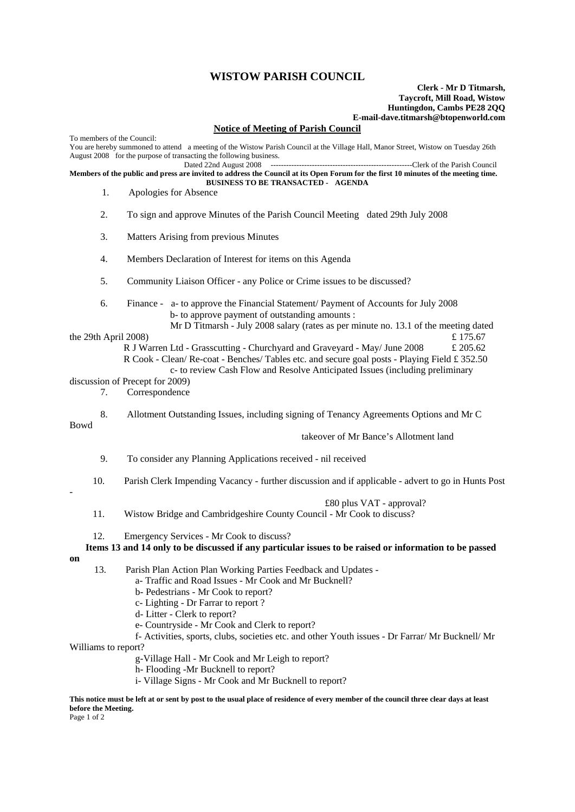## **WISTOW PARISH COUNCIL**

## **Clerk - Mr D Titmarsh, Taycroft, Mill Road, Wistow Huntingdon, Cambs PE28 2QQ E-mail-dave.titmarsh@btopenworld.com**

## **Notice of Meeting of Parish Council**

To members of the Council: You are hereby summoned to attend a meeting of the Wistow Parish Council at the Village Hall, Manor Street, Wistow on Tuesday 26th August 2008 for the purpose of transacting the following business.<br>Dated 22nd August 2008 ------Clerk of the Parish Council **Members of the public and press are invited to address the Council at its Open Forum for the first 10 minutes of the meeting time. BUSINESS TO BE TRANSACTED - AGENDA**  1. Apologies for Absence 2. To sign and approve Minutes of the Parish Council Meeting dated 29th July 2008 3. Matters Arising from previous Minutes 4. Members Declaration of Interest for items on this Agenda 5. Community Liaison Officer - any Police or Crime issues to be discussed? 6. Finance - a- to approve the Financial Statement/ Payment of Accounts for July 2008 b- to approve payment of outstanding amounts : Mr D Titmarsh - July 2008 salary (rates as per minute no. 13.1 of the meeting dated the 29th April 2008)  $\epsilon$  175.67 R J Warren Ltd - Grasscutting - Churchyard and Graveyard - May/ June 2008 £ 205.62 R Cook - Clean/ Re-coat - Benches/ Tables etc. and secure goal posts - Playing Field £ 352.50 c- to review Cash Flow and Resolve Anticipated Issues (including preliminary discussion of Precept for 2009) 7. Correspondence 8. Allotment Outstanding Issues, including signing of Tenancy Agreements Options and Mr C Bowd takeover of Mr Bance's Allotment land 9. To consider any Planning Applications received - nil received 10. Parish Clerk Impending Vacancy - further discussion and if applicable - advert to go in Hunts Post - £80 plus VAT - approval? 11. Wistow Bridge and Cambridgeshire County Council - Mr Cook to discuss? 12. Emergency Services - Mr Cook to discuss? **Items 13 and 14 only to be discussed if any particular issues to be raised or information to be passed on** 13. Parish Plan Action Plan Working Parties Feedback and Updates a- Traffic and Road Issues - Mr Cook and Mr Bucknell? b- Pedestrians - Mr Cook to report? c- Lighting - Dr Farrar to report ? d- Litter - Clerk to report? e- Countryside - Mr Cook and Clerk to report? f- Activities, sports, clubs, societies etc. and other Youth issues - Dr Farrar/ Mr Bucknell/ Mr Williams to report? g-Village Hall - Mr Cook and Mr Leigh to report? h- Flooding -Mr Bucknell to report? i- Village Signs - Mr Cook and Mr Bucknell to report?

**This notice must be left at or sent by post to the usual place of residence of every member of the council three clear days at least before the Meeting.**

Page 1 of 2